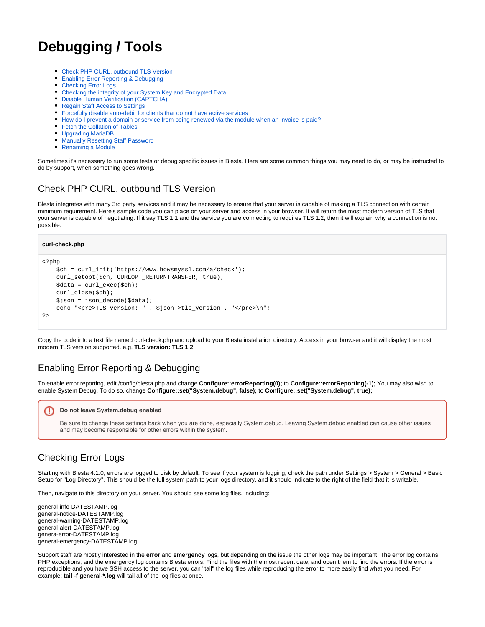# **Debugging / Tools**

- [Check PHP CURL, outbound TLS Version](#page-0-0)
- $\bullet$ [Enabling Error Reporting & Debugging](#page-0-1)
- [Checking Error Logs](#page-0-2)
- [Checking the integrity of your System Key and Encrypted Data](#page-0-3)
- [Disable Human Verification \(CAPTCHA\)](#page-1-0)
- [Regain Staff Access to Settings](#page-1-1)
- [Forcefully disable auto-debit for clients that do not have active services](#page-1-2)
- [How do I prevent a domain or service from being renewed via the module when an invoice is paid?](#page-2-0)
- [Fetch the Collation of Tables](#page-2-1)
- [Upgrading MariaDB](#page-2-2)
- [Manually Resetting Staff Password](#page-3-0)
- [Renaming a Module](#page-3-1)

Sometimes it's necessary to run some tests or debug specific issues in Blesta. Here are some common things you may need to do, or may be instructed to do by support, when something goes wrong.

# <span id="page-0-0"></span>Check PHP CURL, outbound TLS Version

Blesta integrates with many 3rd party services and it may be necessary to ensure that your server is capable of making a TLS connection with certain minimum requirement. Here's sample code you can place on your server and access in your browser. It will return the most modern version of TLS that your server is capable of negotiating. If it say TLS 1.1 and the service you are connecting to requires TLS 1.2, then it will explain why a connection is not possible.

#### **curl-check.php**

```
<?php
     $ch = curl_init('https://www.howsmyssl.com/a/check'); 
     curl_setopt($ch, CURLOPT_RETURNTRANSFER, true); 
     $data = curl_exec($ch); 
     curl_close($ch); 
     $json = json_decode($data); 
    echo "<pre>TLS version: " . $json->tls_version . "</pre>\n";
?>
```
Copy the code into a text file named curl-check.php and upload to your Blesta installation directory. Access in your browser and it will display the most modern TLS version supported. e.g. **TLS version: TLS 1.2**

# <span id="page-0-1"></span>Enabling Error Reporting & Debugging

To enable error reporting, edit /config/blesta.php and change **Configure::errorReporting(0);** to **Configure::errorReporting(-1);** You may also wish to enable System Debug. To do so, change **Configure::set("System.debug", false);** to **Configure::set("System.debug", true);**

#### **Do not leave System.debug enabled** ω

Be sure to change these settings back when you are done, especially System.debug. Leaving System.debug enabled can cause other issues and may become responsible for other errors within the system.

# <span id="page-0-2"></span>Checking Error Logs

Starting with Blesta 4.1.0, errors are logged to disk by default. To see if your system is logging, check the path under Settings > System > General > Basic Setup for "Log Directory". This should be the full system path to your logs directory, and it should indicate to the right of the field that it is writable.

Then, navigate to this directory on your server. You should see some log files, including:

general-info-DATESTAMP.log general-notice-DATESTAMP.log general-warning-DATESTAMP.log general-alert-DATESTAMP.log genera-error-DATESTAMP.log general-emergency-DATESTAMP.log

<span id="page-0-3"></span>Support staff are mostly interested in the **error** and **emergency** logs, but depending on the issue the other logs may be important. The error log contains PHP exceptions, and the emergency log contains Blesta errors. Find the files with the most recent date, and open them to find the errors. If the error is reproducible and you have SSH access to the server, you can "tail" the log files while reproducing the error to more easily find what you need. For example: **tail -f general-\*.log** will tail all of the log files at once.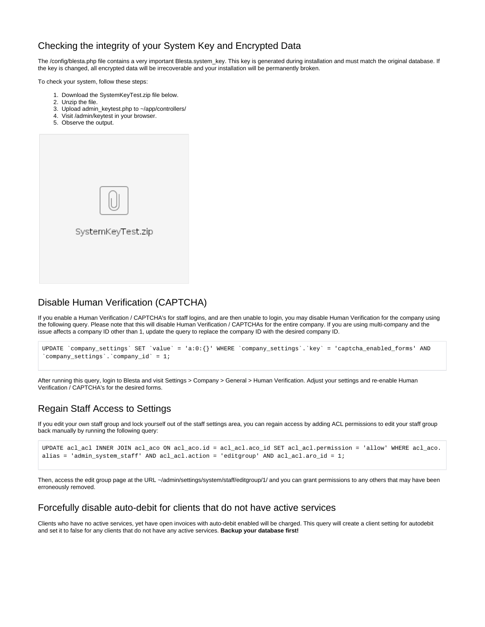## Checking the integrity of your System Key and Encrypted Data

The /config/blesta.php file contains a very important Blesta.system\_key. This key is generated during installation and must match the original database. If the key is changed, all encrypted data will be irrecoverable and your installation will be permanently broken.

To check your system, follow these steps:

- 1. Download the SystemKeyTest.zip file below.
- 2. Unzip the file.
- 3. Upload admin\_keytest.php to ~/app/controllers/
- 4. Visit /admin/keytest in your browser.
- 5. Observe the output.

| SystemKeyTest.zip |  |
|-------------------|--|
|                   |  |
|                   |  |

### <span id="page-1-0"></span>Disable Human Verification (CAPTCHA)

If you enable a Human Verification / CAPTCHA's for staff logins, and are then unable to login, you may disable Human Verification for the company using the following query. Please note that this will disable Human Verification / CAPTCHAs for the entire company. If you are using multi-company and the issue affects a company ID other than 1, update the query to replace the company ID with the desired company ID.

```
UPDATE `company_settings` SET `value` = 'a:0:{}' WHERE `company_settings`.`key` = 'captcha_enabled_forms' AND 
`company_settings`.`company_id` = 1;
```
After running this query, login to Blesta and visit Settings > Company > General > Human Verification. Adjust your settings and re-enable Human Verification / CAPTCHA's for the desired forms.

### <span id="page-1-1"></span>Regain Staff Access to Settings

If you edit your own staff group and lock yourself out of the staff settings area, you can regain access by adding ACL permissions to edit your staff group back manually by running the following query:

```
UPDATE acl_acl INNER JOIN acl_aco ON acl_aco.id = acl_acl.aco_id SET acl_acl.permission = 'allow' WHERE acl_aco.
alias = 'admin_system_staff' AND acl_acl.action = 'editgroup' AND acl_acl.aro_id = 1;
```
Then, access the edit group page at the URL ~/admin/settings/system/staff/editgroup/1/ and you can grant permissions to any others that may have been erroneously removed.

#### <span id="page-1-2"></span>Forcefully disable auto-debit for clients that do not have active services

Clients who have no active services, yet have open invoices with auto-debit enabled will be charged. This query will create a client setting for autodebit and set it to false for any clients that do not have any active services. **Backup your database first!**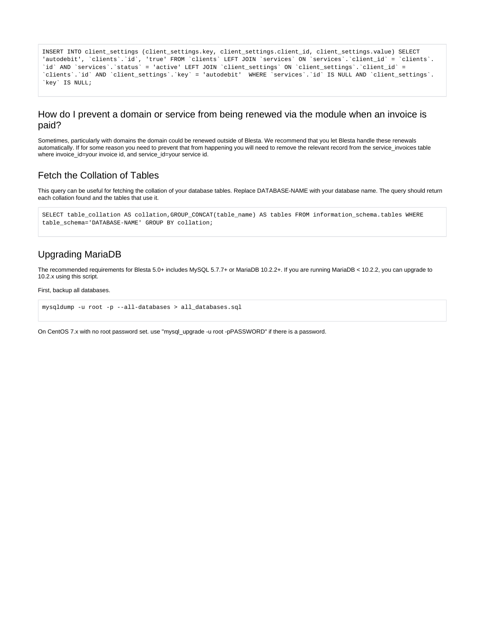```
INSERT INTO client_settings (client_settings.key, client_settings.client_id, client_settings.value) SELECT 
'autodebit', `clients`.`id`, 'true' FROM `clients` LEFT JOIN `services` ON `services`.`client_id` = `clients`.
`id` AND `services`.`status` = 'active' LEFT JOIN `client_settings` ON `client_settings`.`client_id` = 
`clients`.`id` AND `client_settings`.`key` = 'autodebit' WHERE `services`.`id` IS NULL AND `client_settings`.
`key` IS NULL;
```
#### <span id="page-2-0"></span>How do I prevent a domain or service from being renewed via the module when an invoice is paid?

Sometimes, particularly with domains the domain could be renewed outside of Blesta. We recommend that you let Blesta handle these renewals automatically. If for some reason you need to prevent that from happening you will need to remove the relevant record from the service\_invoices table where invoice\_id=your invoice id, and service\_id=your service id.

#### <span id="page-2-1"></span>Fetch the Collation of Tables

This query can be useful for fetching the collation of your database tables. Replace DATABASE-NAME with your database name. The query should return each collation found and the tables that use it.

```
SELECT table_collation AS collation,GROUP_CONCAT(table_name) AS tables FROM information_schema.tables WHERE 
table_schema='DATABASE-NAME' GROUP BY collation;
```
#### <span id="page-2-2"></span>Upgrading MariaDB

The recommended requirements for Blesta 5.0+ includes MySQL 5.7.7+ or MariaDB 10.2.2+. If you are running MariaDB < 10.2.2, you can upgrade to 10.2.x using this script.

First, backup all databases.

```
mysqldump -u root -p --all-databases > all_databases.sql
```
On CentOS 7.x with no root password set. use "mysql\_upgrade -u root -pPASSWORD" if there is a password.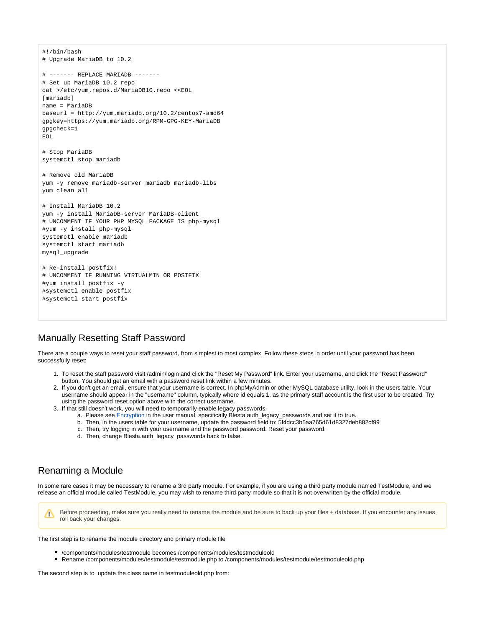```
#!/bin/bash
# Upgrade MariaDB to 10.2
# ------- REPLACE MARIADB -------
# Set up MariaDB 10.2 repo
cat >/etc/yum.repos.d/MariaDB10.repo <<EOL
[mariadb]
name = MariaDB
baseurl = http://yum.mariadb.org/10.2/centos7-amd64
gpgkey=https://yum.mariadb.org/RPM-GPG-KEY-MariaDB
gpgcheck=1
EOL
# Stop MariaDB
systemctl stop mariadb
# Remove old MariaDB
yum -y remove mariadb-server mariadb mariadb-libs
yum clean all
# Install MariaDB 10.2
yum -y install MariaDB-server MariaDB-client
# UNCOMMENT IF YOUR PHP MYSQL PACKAGE IS php-mysql
#yum -y install php-mysql
systemctl enable mariadb
systemctl start mariadb
mysql_upgrade
# Re-install postfix!
# UNCOMMENT IF RUNNING VIRTUALMIN OR POSTFIX
#yum install postfix -y
#systemctl enable postfix
#systemctl start postfix
```
#### <span id="page-3-0"></span>Manually Resetting Staff Password

There are a couple ways to reset your staff password, from simplest to most complex. Follow these steps in order until your password has been successfully reset:

- 1. To reset the staff password visit /admin/login and click the "Reset My Password" link. Enter your username, and click the "Reset Password" button. You should get an email with a password reset link within a few minutes.
- 2. If you don't get an email, ensure that your username is correct. In phpMyAdmin or other MySQL database utility, look in the users table. Your username should appear in the "username" column, typically where id equals 1, as the primary staff account is the first user to be created. Try using the password reset option above with the correct username.
- 3. If that still doesn't work, you will need to temporarily enable legacy passwords.
	- a. Please see [Encryption](http://docs.blesta.com/display/user/Configuration+Files#ConfigurationFiles-Encryption) in the user manual, specifically Blesta.auth\_legacy\_passwords and set it to true.
	- b. Then, in the users table for your username, update the password field to: 5f4dcc3b5aa765d61d8327deb882cf99
	- c. Then, try logging in with your username and the password password. Reset your password.
	- d. Then, change Blesta.auth\_legacy\_passwords back to false.

### <span id="page-3-1"></span>Renaming a Module

In some rare cases it may be necessary to rename a 3rd party module. For example, if you are using a third party module named TestModule, and we release an official module called TestModule, you may wish to rename third party module so that it is not overwritten by the official module.

Before proceeding, make sure you really need to rename the module and be sure to back up your files + database. If you encounter any issues, Λ roll back your changes.

The first step is to rename the module directory and primary module file

- /components/modules/testmodule becomes /components/modules/testmoduleold
- Rename /components/modules/testmodule/testmodule.php to /components/modules/testmodule/testmoduleold.php

The second step is to update the class name in testmoduleold.php from: